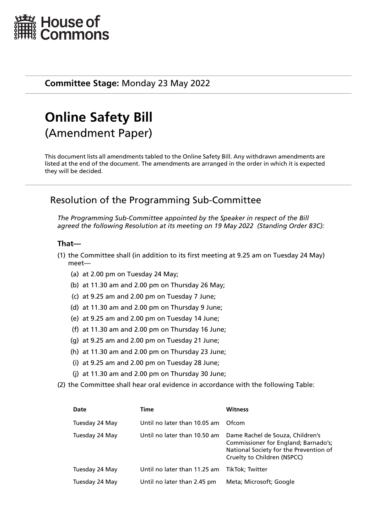

## **Committee Stage:** Monday 23 May 2022

# **Online Safety Bill** (Amendment Paper)

This document lists all amendments tabled to the Online Safety Bill. Any withdrawn amendments are listed at the end of the document. The amendments are arranged in the order in which it is expected they will be decided.

# Resolution of the Programming Sub-Committee

*The Programming Sub-Committee appointed by the Speaker in respect of the Bill agreed the following Resolution at its meeting on 19 May 2022 (Standing Order 83C):*

## **That—**

- (1) the Committee shall (in addition to its first meeting at 9.25 am on Tuesday 24 May) meet—
	- (a) at 2.00 pm on Tuesday 24 May;
	- (b) at 11.30 am and 2.00 pm on Thursday 26 May;
	- (c) at 9.25 am and 2.00 pm on Tuesday 7 June;
	- (d) at 11.30 am and 2.00 pm on Thursday 9 June;
	- (e) at 9.25 am and 2.00 pm on Tuesday 14 June;
	- (f) at 11.30 am and 2.00 pm on Thursday 16 June;
	- (g) at 9.25 am and 2.00 pm on Tuesday 21 June;
	- (h) at 11.30 am and 2.00 pm on Thursday 23 June;
	- (i) at 9.25 am and 2.00 pm on Tuesday 28 June;
	- (j) at 11.30 am and 2.00 pm on Thursday 30 June;
- (2) the Committee shall hear oral evidence in accordance with the following Table:

| Date           | Time                         | <b>Witness</b>                                                                                                                                    |
|----------------|------------------------------|---------------------------------------------------------------------------------------------------------------------------------------------------|
| Tuesday 24 May | Until no later than 10.05 am | Ofcom                                                                                                                                             |
| Tuesday 24 May | Until no later than 10.50 am | Dame Rachel de Souza, Children's<br>Commissioner for England; Barnado's;<br>National Society for the Prevention of<br>Cruelty to Children (NSPCC) |
| Tuesday 24 May | Until no later than 11.25 am | TikTok: Twitter                                                                                                                                   |
| Tuesday 24 May | Until no later than 2.45 pm  | Meta; Microsoft; Google                                                                                                                           |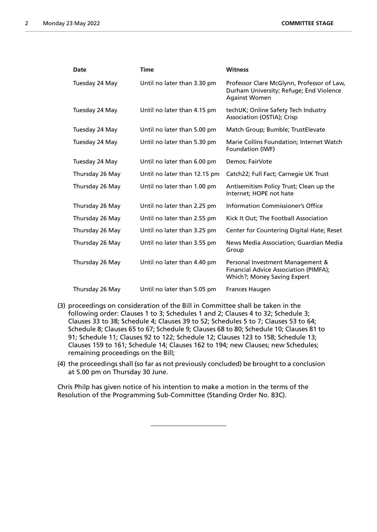| Date            | <b>Time</b>                  | <b>Witness</b>                                                                                                |
|-----------------|------------------------------|---------------------------------------------------------------------------------------------------------------|
| Tuesday 24 May  | Until no later than 3.30 pm  | Professor Clare McGlynn, Professor of Law,<br>Durham University; Refuge; End Violence<br><b>Against Women</b> |
| Tuesday 24 May  | Until no later than 4.15 pm  | techUK; Online Safety Tech Industry<br>Association (OSTIA); Crisp                                             |
| Tuesday 24 May  | Until no later than 5.00 pm  | Match Group; Bumble; TrustElevate                                                                             |
| Tuesday 24 May  | Until no later than 5.30 pm  | Marie Collins Foundation; Internet Watch<br>Foundation (IWF)                                                  |
| Tuesday 24 May  | Until no later than 6.00 pm  | Demos; FairVote                                                                                               |
| Thursday 26 May | Until no later than 12.15 pm | Catch22; Full Fact; Carnegie UK Trust                                                                         |
| Thursday 26 May | Until no later than 1.00 pm  | Antisemitism Policy Trust; Clean up the<br>Internet; HOPE not hate                                            |
| Thursday 26 May | Until no later than 2.25 pm  | Information Commissioner's Office                                                                             |
| Thursday 26 May | Until no later than 2.55 pm  | Kick It Out; The Football Association                                                                         |
| Thursday 26 May | Until no later than 3.25 pm  | Center for Countering Digital Hate; Reset                                                                     |
| Thursday 26 May | Until no later than 3.55 pm  | News Media Association; Guardian Media<br>Group                                                               |
| Thursday 26 May | Until no later than 4.40 pm  | Personal Investment Management &<br>Financial Advice Association (PIMFA);<br>Which?; Money Saving Expert      |
| Thursday 26 May | Until no later than 5.05 pm  | <b>Frances Haugen</b>                                                                                         |

- (3) proceedings on consideration of the Bill in Committee shall be taken in the following order: Clauses 1 to 3; Schedules 1 and 2; Clauses 4 to 32; Schedule 3; Clauses 33 to 38; Schedule 4; Clauses 39 to 52; Schedules 5 to 7; Clauses 53 to 64; Schedule 8; Clauses 65 to 67; Schedule 9; Clauses 68 to 80; Schedule 10; Clauses 81 to 91; Schedule 11; Clauses 92 to 122; Schedule 12; Clauses 123 to 158; Schedule 13; Clauses 159 to 161; Schedule 14; Clauses 162 to 194; new Clauses; new Schedules; remaining proceedings on the Bill;
- (4) the proceedings shall (so far as not previously concluded) be brought to a conclusion at 5.00 pm on Thursday 30 June.

Chris Philp has given notice of his intention to make a motion in the terms of the Resolution of the Programming Sub-Committee (Standing Order No. 83C).